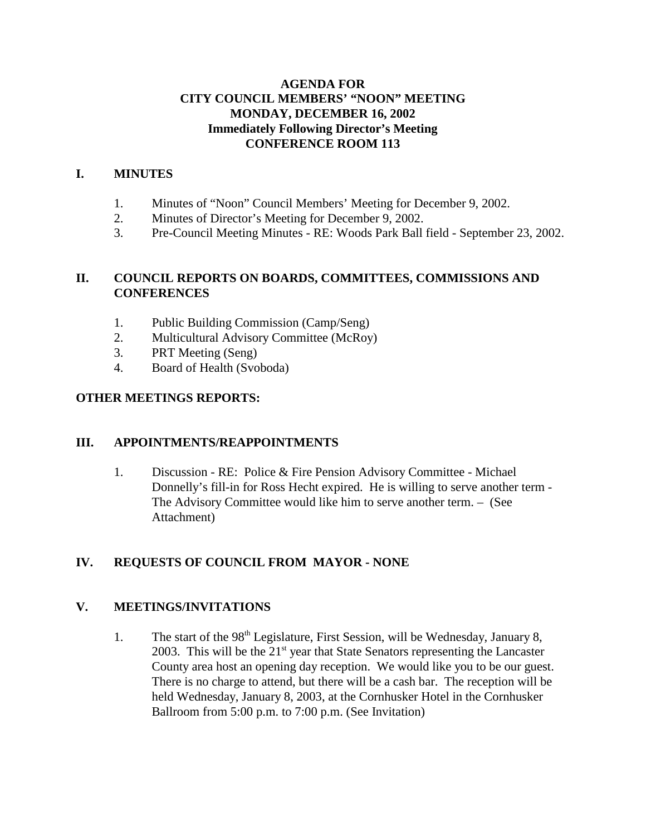## **AGENDA FOR CITY COUNCIL MEMBERS' "NOON" MEETING MONDAY, DECEMBER 16, 2002 Immediately Following Director's Meeting CONFERENCE ROOM 113**

## **I. MINUTES**

- 1. Minutes of "Noon" Council Members' Meeting for December 9, 2002.
- 2. Minutes of Director's Meeting for December 9, 2002.
- 3. Pre-Council Meeting Minutes RE: Woods Park Ball field September 23, 2002.

## **II. COUNCIL REPORTS ON BOARDS, COMMITTEES, COMMISSIONS AND CONFERENCES**

- 1. Public Building Commission (Camp/Seng)
- 2. Multicultural Advisory Committee (McRoy)
- 3. PRT Meeting (Seng)
- 4. Board of Health (Svoboda)

## **OTHER MEETINGS REPORTS:**

## **III. APPOINTMENTS/REAPPOINTMENTS**

1. Discussion - RE: Police & Fire Pension Advisory Committee - Michael Donnelly's fill-in for Ross Hecht expired. He is willing to serve another term - The Advisory Committee would like him to serve another term. – (See Attachment)

# **IV. REQUESTS OF COUNCIL FROM MAYOR - NONE**

# **V. MEETINGS/INVITATIONS**

1. The start of the 98<sup>th</sup> Legislature, First Session, will be Wednesday, January 8, 2003. This will be the  $21<sup>st</sup>$  year that State Senators representing the Lancaster County area host an opening day reception. We would like you to be our guest. There is no charge to attend, but there will be a cash bar. The reception will be held Wednesday, January 8, 2003, at the Cornhusker Hotel in the Cornhusker Ballroom from 5:00 p.m. to 7:00 p.m. (See Invitation)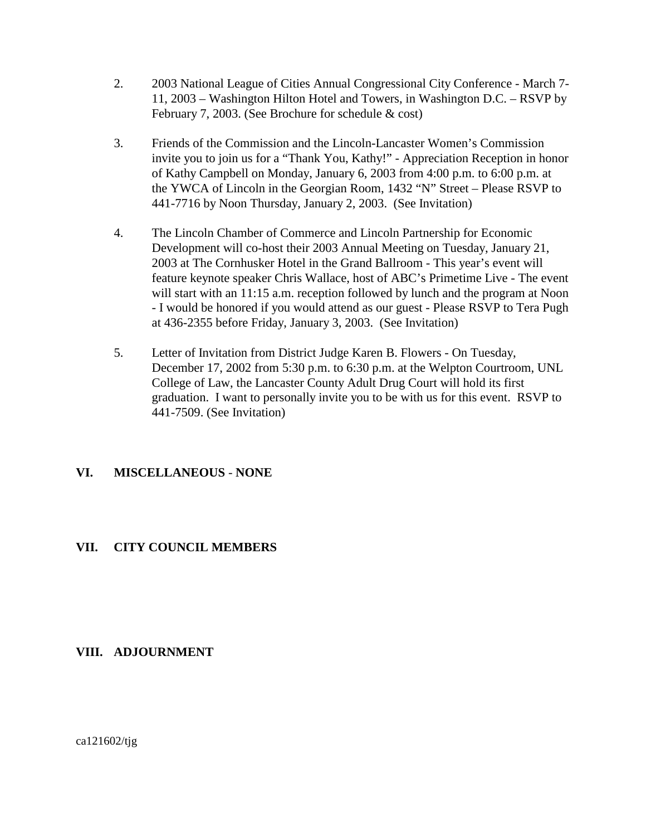- 2. 2003 National League of Cities Annual Congressional City Conference March 7- 11, 2003 – Washington Hilton Hotel and Towers, in Washington D.C. – RSVP by February 7, 2003. (See Brochure for schedule & cost)
- 3. Friends of the Commission and the Lincoln-Lancaster Women's Commission invite you to join us for a "Thank You, Kathy!" - Appreciation Reception in honor of Kathy Campbell on Monday, January 6, 2003 from 4:00 p.m. to 6:00 p.m. at the YWCA of Lincoln in the Georgian Room, 1432 "N" Street – Please RSVP to 441-7716 by Noon Thursday, January 2, 2003. (See Invitation)
- 4. The Lincoln Chamber of Commerce and Lincoln Partnership for Economic Development will co-host their 2003 Annual Meeting on Tuesday, January 21, 2003 at The Cornhusker Hotel in the Grand Ballroom - This year's event will feature keynote speaker Chris Wallace, host of ABC's Primetime Live - The event will start with an 11:15 a.m. reception followed by lunch and the program at Noon - I would be honored if you would attend as our guest - Please RSVP to Tera Pugh at 436-2355 before Friday, January 3, 2003. (See Invitation)
- 5. Letter of Invitation from District Judge Karen B. Flowers On Tuesday, December 17, 2002 from 5:30 p.m. to 6:30 p.m. at the Welpton Courtroom, UNL College of Law, the Lancaster County Adult Drug Court will hold its first graduation. I want to personally invite you to be with us for this event. RSVP to 441-7509. (See Invitation)

## **VI. MISCELLANEOUS** - **NONE**

## **VII. CITY COUNCIL MEMBERS**

## **VIII. ADJOURNMENT**

ca121602/tjg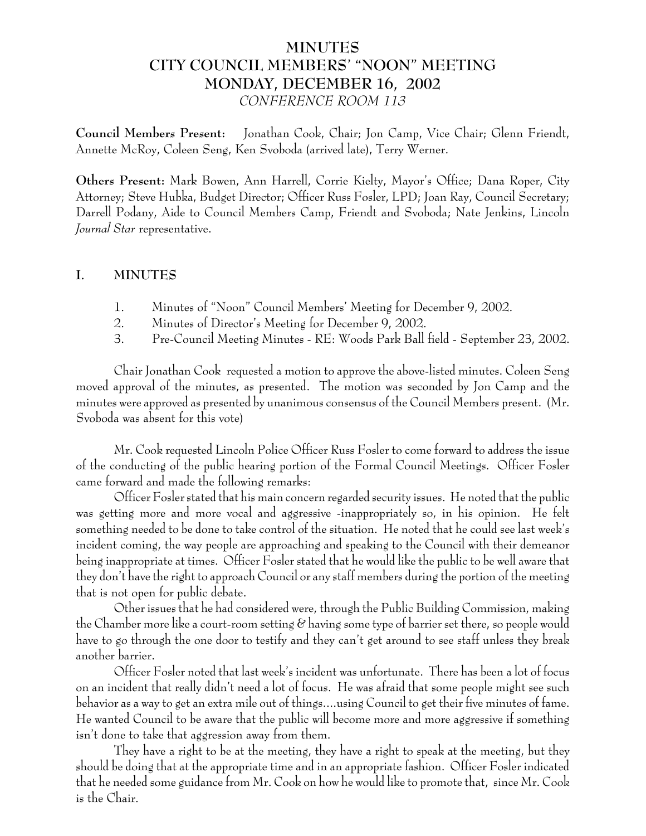# **MINUTES CITY COUNCIL MEMBERS' "NOON" MEETING MONDAY, DECEMBER 16, 2002** *CONFERENCE ROOM 113*

**Council Members Present:** Jonathan Cook, Chair; Jon Camp, Vice Chair; Glenn Friendt, Annette McRoy, Coleen Seng, Ken Svoboda (arrived late), Terry Werner.

**Others Present:** Mark Bowen, Ann Harrell, Corrie Kielty, Mayor's Office; Dana Roper, City Attorney; Steve Hubka, Budget Director; Officer Russ Fosler, LPD; Joan Ray, Council Secretary; Darrell Podany, Aide to Council Members Camp, Friendt and Svoboda; Nate Jenkins, Lincoln *Journal Star* representative.

#### **I. MINUTES**

- 1. Minutes of "Noon" Council Members' Meeting for December 9, 2002.
- 2. Minutes of Director's Meeting for December 9, 2002.
- 3. Pre-Council Meeting Minutes RE: Woods Park Ball field September 23, 2002.

Chair Jonathan Cook requested a motion to approve the above-listed minutes. Coleen Seng moved approval of the minutes, as presented. The motion was seconded by Jon Camp and the minutes were approved as presented by unanimous consensus of the Council Members present. (Mr. Svoboda was absent for this vote)

Mr. Cook requested Lincoln Police Officer Russ Fosler to come forward to address the issue of the conducting of the public hearing portion of the Formal Council Meetings. Officer Fosler came forward and made the following remarks:

Officer Fosler stated that his main concern regarded security issues. He noted that the public was getting more and more vocal and aggressive -inappropriately so, in his opinion. He felt something needed to be done to take control of the situation. He noted that he could see last week's incident coming, the way people are approaching and speaking to the Council with their demeanor being inappropriate at times. Officer Fosler stated that he would like the public to be well aware that they don't have the right to approach Council or any staff members during the portion of the meeting that is not open for public debate.

Other issues that he had considered were, through the Public Building Commission, making the Chamber more like a court-room setting & having some type of barrier set there, so people would have to go through the one door to testify and they can't get around to see staff unless they break another barrier.

Officer Fosler noted that last week's incident was unfortunate. There has been a lot of focus on an incident that really didn't need a lot of focus. He was afraid that some people might see such behavior as a way to get an extra mile out of things....using Council to get their five minutes of fame. He wanted Council to be aware that the public will become more and more aggressive if something isn't done to take that aggression away from them.

They have a right to be at the meeting, they have a right to speak at the meeting, but they should be doing that at the appropriate time and in an appropriate fashion. Officer Fosler indicated that he needed some guidance from Mr. Cook on how he would like to promote that, since Mr. Cook is the Chair.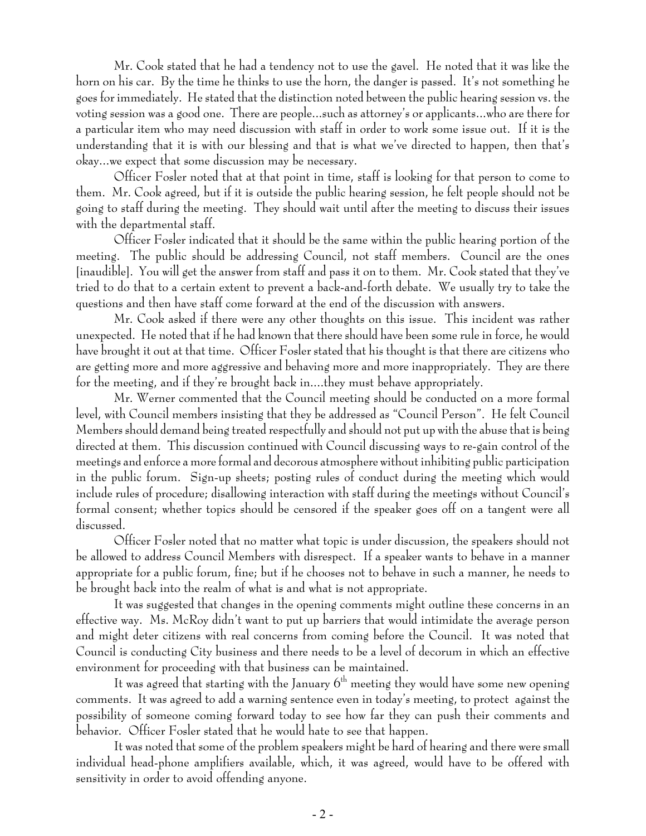Mr. Cook stated that he had a tendency not to use the gavel. He noted that it was like the horn on his car. By the time he thinks to use the horn, the danger is passed. It's not something he goes for immediately. He stated that the distinction noted between the public hearing session vs. the voting session was a good one. There are people...such as attorney's or applicants...who are there for a particular item who may need discussion with staff in order to work some issue out. If it is the understanding that it is with our blessing and that is what we've directed to happen, then that's okay...we expect that some discussion may be necessary.

Officer Fosler noted that at that point in time, staff is looking for that person to come to them. Mr. Cook agreed, but if it is outside the public hearing session, he felt people should not be going to staff during the meeting. They should wait until after the meeting to discuss their issues with the departmental staff.

Officer Fosler indicated that it should be the same within the public hearing portion of the meeting. The public should be addressing Council, not staff members. Council are the ones [inaudible]. You will get the answer from staff and pass it on to them. Mr. Cook stated that they've tried to do that to a certain extent to prevent a back-and-forth debate. We usually try to take the questions and then have staff come forward at the end of the discussion with answers.

Mr. Cook asked if there were any other thoughts on this issue. This incident was rather unexpected. He noted that if he had known that there should have been some rule in force, he would have brought it out at that time. Officer Fosler stated that his thought is that there are citizens who are getting more and more aggressive and behaving more and more inappropriately. They are there for the meeting, and if they're brought back in....they must behave appropriately.

Mr. Werner commented that the Council meeting should be conducted on a more formal level, with Council members insisting that they be addressed as "Council Person". He felt Council Members should demand being treated respectfully and should not put up with the abuse that is being directed at them. This discussion continued with Council discussing ways to re-gain control of the meetings and enforce a more formal and decorous atmosphere without inhibiting public participation in the public forum. Sign-up sheets; posting rules of conduct during the meeting which would include rules of procedure; disallowing interaction with staff during the meetings without Council's formal consent; whether topics should be censored if the speaker goes off on a tangent were all discussed.

Officer Fosler noted that no matter what topic is under discussion, the speakers should not be allowed to address Council Members with disrespect. If a speaker wants to behave in a manner appropriate for a public forum, fine; but if he chooses not to behave in such a manner, he needs to be brought back into the realm of what is and what is not appropriate.

It was suggested that changes in the opening comments might outline these concerns in an effective way. Ms. McRoy didn't want to put up barriers that would intimidate the average person and might deter citizens with real concerns from coming before the Council. It was noted that Council is conducting City business and there needs to be a level of decorum in which an effective environment for proceeding with that business can be maintained.

It was agreed that starting with the January  $6<sup>th</sup>$  meeting they would have some new opening comments. It was agreed to add a warning sentence even in today's meeting, to protect against the possibility of someone coming forward today to see how far they can push their comments and behavior. Officer Fosler stated that he would hate to see that happen.

It was noted that some of the problem speakers might be hard of hearing and there were small individual head-phone amplifiers available, which, it was agreed, would have to be offered with sensitivity in order to avoid offending anyone.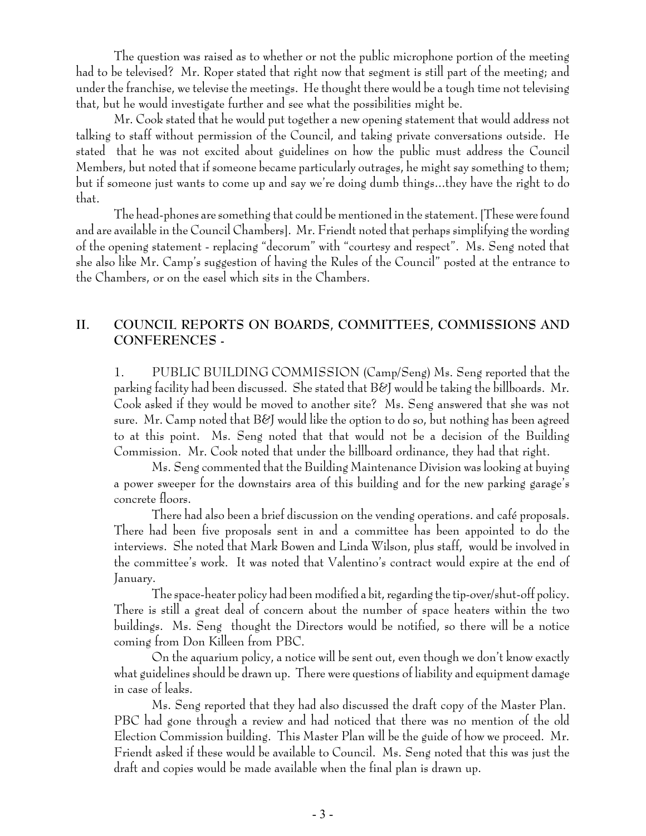The question was raised as to whether or not the public microphone portion of the meeting had to be televised? Mr. Roper stated that right now that segment is still part of the meeting; and under the franchise, we televise the meetings. He thought there would be a tough time not televising that, but he would investigate further and see what the possibilities might be.

Mr. Cook stated that he would put together a new opening statement that would address not talking to staff without permission of the Council, and taking private conversations outside. He stated that he was not excited about guidelines on how the public must address the Council Members, but noted that if someone became particularly outrages, he might say something to them; but if someone just wants to come up and say we're doing dumb things...they have the right to do that.

The head-phones are something that could be mentioned in the statement. [These were found and are available in the Council Chambers]. Mr. Friendt noted that perhaps simplifying the wording of the opening statement - replacing "decorum" with "courtesy and respect". Ms. Seng noted that she also like Mr. Camp's suggestion of having the Rules of the Council" posted at the entrance to the Chambers, or on the easel which sits in the Chambers.

## **II. COUNCIL REPORTS ON BOARDS, COMMITTEES, COMMISSIONS AND CONFERENCES -**

1. PUBLIC BUILDING COMMISSION (Camp/Seng) Ms. Seng reported that the parking facility had been discussed. She stated that B&J would be taking the billboards. Mr. Cook asked if they would be moved to another site? Ms. Seng answered that she was not sure. Mr. Camp noted that B&J would like the option to do so, but nothing has been agreed to at this point. Ms. Seng noted that that would not be a decision of the Building Commission. Mr. Cook noted that under the billboard ordinance, they had that right.

Ms. Seng commented that the Building Maintenance Division was looking at buying a power sweeper for the downstairs area of this building and for the new parking garage's concrete floors.

There had also been a brief discussion on the vending operations. and café proposals. There had been five proposals sent in and a committee has been appointed to do the interviews. She noted that Mark Bowen and Linda Wilson, plus staff, would be involved in the committee's work. It was noted that Valentino's contract would expire at the end of January.

The space-heater policy had been modified a bit, regarding the tip-over/shut-off policy. There is still a great deal of concern about the number of space heaters within the two buildings. Ms. Seng thought the Directors would be notified, so there will be a notice coming from Don Killeen from PBC.

On the aquarium policy, a notice will be sent out, even though we don't know exactly what guidelines should be drawn up. There were questions of liability and equipment damage in case of leaks.

Ms. Seng reported that they had also discussed the draft copy of the Master Plan. PBC had gone through a review and had noticed that there was no mention of the old Election Commission building. This Master Plan will be the guide of how we proceed. Mr. Friendt asked if these would be available to Council. Ms. Seng noted that this was just the draft and copies would be made available when the final plan is drawn up.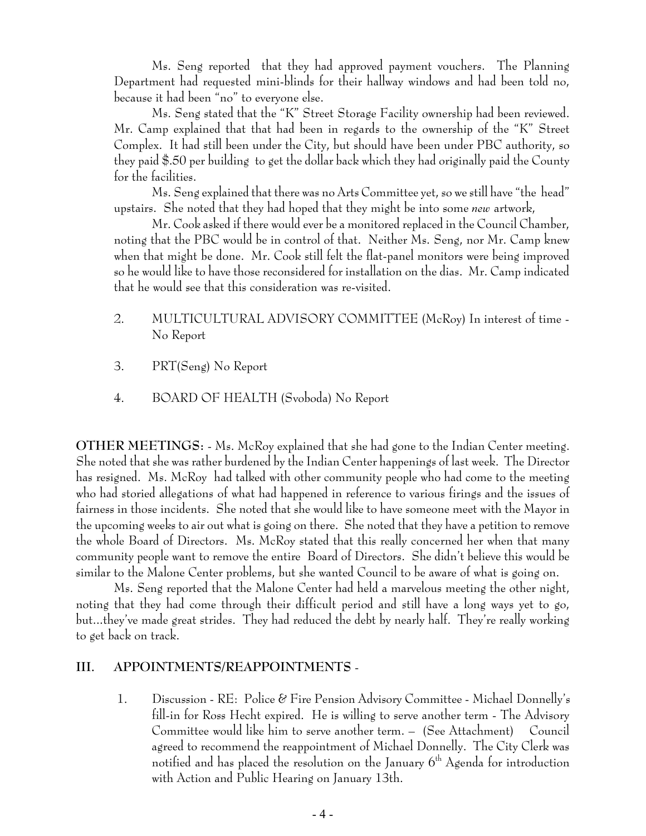Ms. Seng reported that they had approved payment vouchers. The Planning Department had requested mini-blinds for their hallway windows and had been told no, because it had been "no" to everyone else.

Ms. Seng stated that the "K" Street Storage Facility ownership had been reviewed. Mr. Camp explained that that had been in regards to the ownership of the "K" Street Complex. It had still been under the City, but should have been under PBC authority, so they paid \$.50 per building to get the dollar back which they had originally paid the County for the facilities.

Ms. Seng explained that there was no Arts Committee yet, so we still have "the head" upstairs. She noted that they had hoped that they might be into some *new* artwork,

Mr. Cook asked if there would ever be a monitored replaced in the Council Chamber, noting that the PBC would be in control of that. Neither Ms. Seng, nor Mr. Camp knew when that might be done. Mr. Cook still felt the flat-panel monitors were being improved so he would like to have those reconsidered for installation on the dias. Mr. Camp indicated that he would see that this consideration was re-visited.

- 2. MULTICULTURAL ADVISORY COMMITTEE (McRoy) In interest of time -No Report
- 3. PRT(Seng) No Report
- 4. BOARD OF HEALTH (Svoboda) No Report

**OTHER MEETINGS:** - Ms. McRoy explained that she had gone to the Indian Center meeting. She noted that she was rather burdened by the Indian Center happenings of last week. The Director has resigned. Ms. McRoy had talked with other community people who had come to the meeting who had storied allegations of what had happened in reference to various firings and the issues of fairness in those incidents. She noted that she would like to have someone meet with the Mayor in the upcoming weeks to air out what is going on there. She noted that they have a petition to remove the whole Board of Directors. Ms. McRoy stated that this really concerned her when that many community people want to remove the entire Board of Directors. She didn't believe this would be similar to the Malone Center problems, but she wanted Council to be aware of what is going on.

Ms. Seng reported that the Malone Center had held a marvelous meeting the other night, noting that they had come through their difficult period and still have a long ways yet to go, but...they've made great strides. They had reduced the debt by nearly half. They're really working to get back on track.

#### **III. APPOINTMENTS/REAPPOINTMENTS** -

 1. Discussion - RE: Police & Fire Pension Advisory Committee - Michael Donnelly's fill-in for Ross Hecht expired. He is willing to serve another term - The Advisory Committee would like him to serve another term. – (See Attachment) Council agreed to recommend the reappointment of Michael Donnelly. The City Clerk was notified and has placed the resolution on the January  $6<sup>th</sup>$  Agenda for introduction with Action and Public Hearing on January 13th.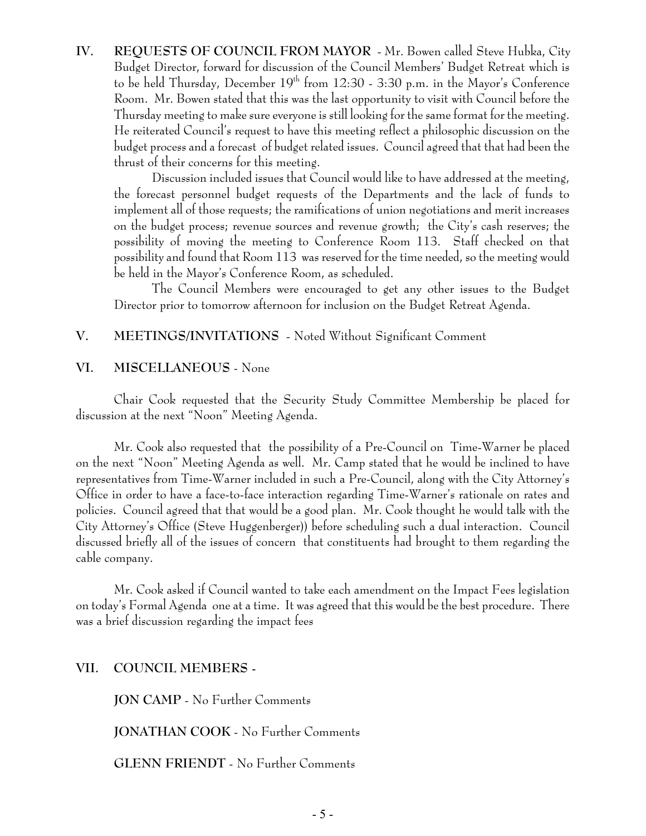**IV. REQUESTS OF COUNCIL FROM MAYOR** - Mr. Bowen called Steve Hubka, City Budget Director, forward for discussion of the Council Members' Budget Retreat which is to be held Thursday, December  $19<sup>th</sup>$  from 12:30 - 3:30 p.m. in the Mayor's Conference Room. Mr. Bowen stated that this was the last opportunity to visit with Council before the Thursday meeting to make sure everyone is still looking for the same format for the meeting. He reiterated Council's request to have this meeting reflect a philosophic discussion on the budget process and a forecast of budget related issues. Council agreed that that had been the thrust of their concerns for this meeting.

Discussion included issues that Council would like to have addressed at the meeting, the forecast personnel budget requests of the Departments and the lack of funds to implement all of those requests; the ramifications of union negotiations and merit increases on the budget process; revenue sources and revenue growth; the City's cash reserves; the possibility of moving the meeting to Conference Room 113. Staff checked on that possibility and found that Room 113 was reserved for the time needed, so the meeting would be held in the Mayor's Conference Room, as scheduled.

The Council Members were encouraged to get any other issues to the Budget Director prior to tomorrow afternoon for inclusion on the Budget Retreat Agenda.

## **V. MEETINGS/INVITATIONS** - Noted Without Significant Comment

#### **VI. MISCELLANEOUS** - None

Chair Cook requested that the Security Study Committee Membership be placed for discussion at the next "Noon" Meeting Agenda.

Mr. Cook also requested that the possibility of a Pre-Council on Time-Warner be placed on the next "Noon" Meeting Agenda as well. Mr. Camp stated that he would be inclined to have representatives from Time-Warner included in such a Pre-Council, along with the City Attorney's Office in order to have a face-to-face interaction regarding Time-Warner's rationale on rates and policies. Council agreed that that would be a good plan. Mr. Cook thought he would talk with the City Attorney's Office (Steve Huggenberger)) before scheduling such a dual interaction. Council discussed briefly all of the issues of concern that constituents had brought to them regarding the cable company.

Mr. Cook asked if Council wanted to take each amendment on the Impact Fees legislation on today's Formal Agenda one at a time. It was agreed that this would be the best procedure. There was a brief discussion regarding the impact fees

## **VII. COUNCIL MEMBERS -**

**JON CAMP** - No Further Comments

**JONATHAN COOK** - No Further Comments

**GLENN FRIENDT** - No Further Comments